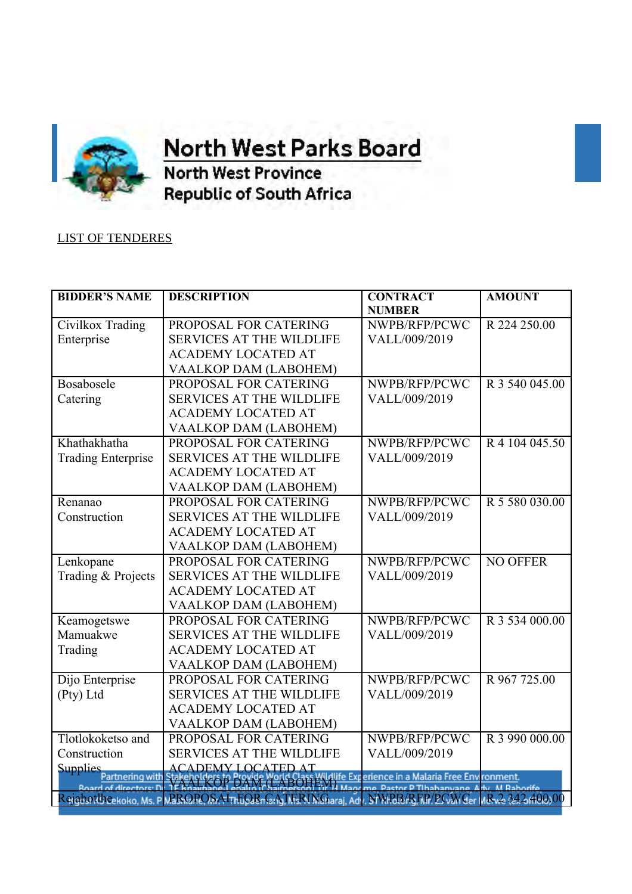

**OFFICE OF THE orth West Parks Board** 

**North West Province Republic of South Africa** 

## LIST OF TENDERES

| <b>BIDDER'S NAME</b>                                                                   | <b>DESCRIPTION</b>                                                                                                                                                                                                                   | <b>CONTRACT</b> | <b>AMOUNT</b>               |  |
|----------------------------------------------------------------------------------------|--------------------------------------------------------------------------------------------------------------------------------------------------------------------------------------------------------------------------------------|-----------------|-----------------------------|--|
|                                                                                        |                                                                                                                                                                                                                                      | <b>NUMBER</b>   |                             |  |
| Civilkox Trading                                                                       | PROPOSAL FOR CATERING                                                                                                                                                                                                                | NWPB/RFP/PCWC   | R 224 250.00                |  |
| Enterprise                                                                             | <b>SERVICES AT THE WILDLIFE</b>                                                                                                                                                                                                      | VALL/009/2019   |                             |  |
|                                                                                        | <b>ACADEMY LOCATED AT</b>                                                                                                                                                                                                            |                 |                             |  |
|                                                                                        | VAALKOP DAM (LABOHEM)                                                                                                                                                                                                                |                 |                             |  |
| Bosabosele                                                                             | PROPOSAL FOR CATERING                                                                                                                                                                                                                | NWPB/RFP/PCWC   | R 3 540 045.00              |  |
| Catering                                                                               | <b>SERVICES AT THE WILDLIFE</b>                                                                                                                                                                                                      | VALL/009/2019   |                             |  |
|                                                                                        | <b>ACADEMY LOCATED AT</b>                                                                                                                                                                                                            |                 |                             |  |
|                                                                                        | VAALKOP DAM (LABOHEM)                                                                                                                                                                                                                |                 |                             |  |
| Khathakhatha                                                                           | PROPOSAL FOR CATERING                                                                                                                                                                                                                | NWPB/RFP/PCWC   | R 4 104 045.50              |  |
| <b>Trading Enterprise</b>                                                              | <b>SERVICES AT THE WILDLIFE</b>                                                                                                                                                                                                      | VALL/009/2019   |                             |  |
|                                                                                        | <b>ACADEMY LOCATED AT</b>                                                                                                                                                                                                            |                 |                             |  |
|                                                                                        | VAALKOP DAM (LABOHEM)                                                                                                                                                                                                                |                 |                             |  |
| Renanao                                                                                | PROPOSAL FOR CATERING                                                                                                                                                                                                                | NWPB/RFP/PCWC   | R 5 580 030.00              |  |
| Construction                                                                           | <b>SERVICES AT THE WILDLIFE</b>                                                                                                                                                                                                      | VALL/009/2019   |                             |  |
|                                                                                        | <b>ACADEMY LOCATED AT</b>                                                                                                                                                                                                            |                 |                             |  |
|                                                                                        | VAALKOP DAM (LABOHEM)                                                                                                                                                                                                                |                 |                             |  |
| Lenkopane                                                                              | PROPOSAL FOR CATERING                                                                                                                                                                                                                | NWPB/RFP/PCWC   | <b>NO OFFER</b>             |  |
| Trading & Projects                                                                     | <b>SERVICES AT THE WILDLIFE</b>                                                                                                                                                                                                      | VALL/009/2019   |                             |  |
|                                                                                        | <b>ACADEMY LOCATED AT</b>                                                                                                                                                                                                            |                 |                             |  |
|                                                                                        | VAALKOP DAM (LABOHEM)                                                                                                                                                                                                                |                 |                             |  |
| Keamogetswe                                                                            | PROPOSAL FOR CATERING                                                                                                                                                                                                                | NWPB/RFP/PCWC   | $\overline{R}$ 3 534 000.00 |  |
| Mamuakwe                                                                               | <b>SERVICES AT THE WILDLIFE</b>                                                                                                                                                                                                      | VALL/009/2019   |                             |  |
| Trading                                                                                | <b>ACADEMY LOCATED AT</b>                                                                                                                                                                                                            |                 |                             |  |
|                                                                                        | VAALKOP DAM (LABOHEM)                                                                                                                                                                                                                |                 |                             |  |
| Dijo Enterprise                                                                        | PROPOSAL FOR CATERING                                                                                                                                                                                                                | NWPB/RFP/PCWC   | R 967 725.00                |  |
| (Pty) Ltd                                                                              | <b>SERVICES AT THE WILDLIFE</b>                                                                                                                                                                                                      | VALL/009/2019   |                             |  |
|                                                                                        | <b>ACADEMY LOCATED AT</b>                                                                                                                                                                                                            |                 |                             |  |
|                                                                                        | VAALKOP DAM (LABOHEM)                                                                                                                                                                                                                |                 |                             |  |
| Tlotlokoketso and                                                                      | PROPOSAL FOR CATERING                                                                                                                                                                                                                | NWPB/RFP/PCWC   | R 3 990 000.00              |  |
| Construction                                                                           | <b>SERVICES AT THE WILDLIFE</b>                                                                                                                                                                                                      | VALL/009/2019   |                             |  |
| <b>Supplies</b>                                                                        |                                                                                                                                                                                                                                      |                 |                             |  |
| <b>Roard of directors: D</b>                                                           | ACADEMY LOCATED AT<br>Partnering with Stakeholders to Provide World Class Wildlife Experience in a Malaria Free Environment.<br>Lof directors: D. 15 Rharmand Landin In Archael Class Maggine, Pastor P Tihabanyane, Adv. M Raborife |                 |                             |  |
| Rejabotlbcekoko, Ms. PMBROROSATTEORTGATERINGaraj, Adv. NWRB/RFR/PCWGer MRv2 8421400.00 |                                                                                                                                                                                                                                      |                 |                             |  |